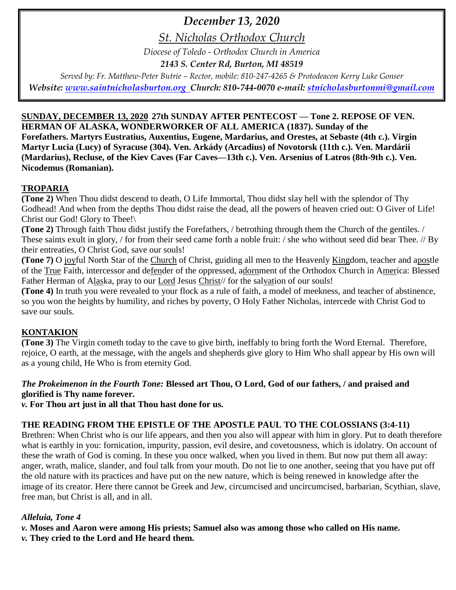### *December 13, 2020*

*St. Nicholas Orthodox Church*

*Diocese of Toledo - Orthodox Church in America*

*2143 S. Center Rd, Burton, MI 48519*

*Served by: Fr. Matthew-Peter Butrie – Rector, mobile: 810-247-4265 & Protodeacon Kerry Luke Gonser Website: [www.saintnicholasburton.org](http://www.saintnicholasburton.org/) Church: 810-744-0070 e-mail: [stnicholasburtonmi@gmail.com](mailto:stnicholasburtonmi@gmail.com)*

### **SUNDAY, DECEMBER 13, 2020 27th SUNDAY AFTER PENTECOST — Tone 2. REPOSE OF VEN. HERMAN OF ALASKA, WONDERWORKER OF ALL AMERICA (1837). Sunday of the Forefathers. Martyrs Eustratius, Auxentius, Eugene, Mardarius, and Orestes, at Sebaste (4th c.). Virgin Martyr Lucia (Lucy) of Syracuse (304). Ven. Arkády (Arcadius) of Novotorsk (11th c.). Ven. Mardárii (Mardarius), Recluse, of the Kiev Caves (Far Caves—13th c.). Ven. Arsenius of Latros (8th-9th c.). Ven. Nicodemus (Romanian).**

### **TROPARIA**

**(Tone 2)** When Thou didst descend to death, O Life Immortal, Thou didst slay hell with the splendor of Thy Godhead! And when from the depths Thou didst raise the dead, all the powers of heaven cried out: O Giver of Life! Christ our God! Glory to Thee!\

**(Tone 2)** Through faith Thou didst justify the Forefathers, / betrothing through them the Church of the gentiles. / These saints exult in glory, / for from their seed came forth a noble fruit: / she who without seed did bear Thee. // By their entreaties, O Christ God, save our souls!

**(Tone 7)** O joyful North Star of the Church of Christ, guiding all men to the Heavenly Kingdom, teacher and apostle of the True Faith, intercessor and defender of the oppressed, adornment of the Orthodox Church in America: Blessed Father Herman of Alaska, pray to our Lord Jesus Christ// for the salvation of our souls!

**(Tone 4)** In truth you were revealed to your flock as a rule of faith, a model of meekness, and teacher of abstinence, so you won the heights by humility, and riches by poverty, O Holy Father Nicholas, intercede with Christ God to save our souls.

### **KONTAKION**

**(Tone 3)** The Virgin cometh today to the cave to give birth, ineffably to bring forth the Word Eternal. Therefore, rejoice, O earth, at the message, with the angels and shepherds give glory to Him Who shall appear by His own will as a young child, He Who is from eternity God.

### *The Prokeimenon in the Fourth Tone:* **Blessed art Thou, O Lord, God of our fathers, / and praised and glorified is Thy name forever.**

*v.* **For Thou art just in all that Thou hast done for us.**

### **THE READING FROM THE EPISTLE OF THE APOSTLE PAUL TO THE COLOSSIANS (3:4-11)**

Brethren: When Christ who is our life appears, and then you also will appear with him in glory. Put to death therefore what is earthly in you: fornication, impurity, passion, evil desire, and covetousness, which is idolatry. On account of these the wrath of God is coming. In these you once walked, when you lived in them. But now put them all away: anger, wrath, malice, slander, and foul talk from your mouth. Do not lie to one another, seeing that you have put off the old nature with its practices and have put on the new nature, which is being renewed in knowledge after the image of its creator. Here there cannot be Greek and Jew, circumcised and uncircumcised, barbarian, Scythian, slave, free man, but Christ is all, and in all.

### *Alleluia, Tone 4*

*v.* **Moses and Aaron were among His priests; Samuel also was among those who called on His name.**

*v.* **They cried to the Lord and He heard them.**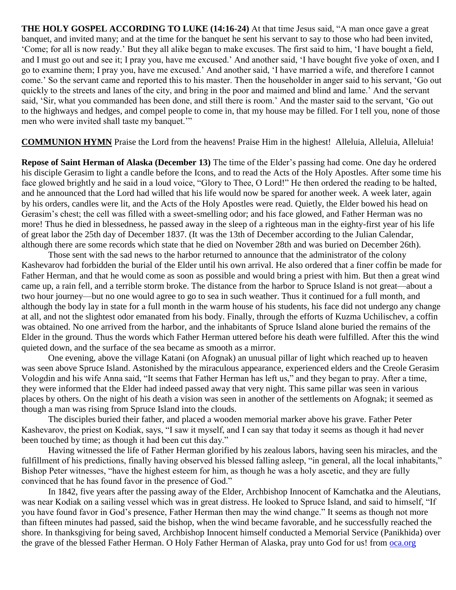**THE HOLY GOSPEL ACCORDING TO LUKE (14:16-24)** At that time Jesus said, "A man once gave a great banquet, and invited many; and at the time for the banquet he sent his servant to say to those who had been invited, 'Come; for all is now ready.' But they all alike began to make excuses. The first said to him, 'I have bought a field, and I must go out and see it; I pray you, have me excused.' And another said, 'I have bought five yoke of oxen, and I go to examine them; I pray you, have me excused.' And another said, 'I have married a wife, and therefore I cannot come.' So the servant came and reported this to his master. Then the householder in anger said to his servant, 'Go out quickly to the streets and lanes of the city, and bring in the poor and maimed and blind and lame.' And the servant said, 'Sir, what you commanded has been done, and still there is room.' And the master said to the servant, 'Go out to the highways and hedges, and compel people to come in, that my house may be filled. For I tell you, none of those men who were invited shall taste my banquet.'"

**COMMUNION HYMN** Praise the Lord from the heavens! Praise Him in the highest! Alleluia, Alleluia, Alleluia!

**Repose of Saint Herman of Alaska (December 13)** The time of the Elder's passing had come. One day he ordered his disciple Gerasim to light a candle before the Icons, and to read the Acts of the Holy Apostles. After some time his face glowed brightly and he said in a loud voice, "Glory to Thee, O Lord!" He then ordered the reading to be halted, and he announced that the Lord had willed that his life would now be spared for another week. A week later, again by his orders, candles were lit, and the Acts of the Holy Apostles were read. Quietly, the Elder bowed his head on Gerasim's chest; the cell was filled with a sweet-smelling odor; and his face glowed, and Father Herman was no more! Thus he died in blessedness, he passed away in the sleep of a righteous man in the eighty-first year of his life of great labor the 25th day of December 1837. (It was the 13th of December according to the Julian Calendar, although there are some records which state that he died on November 28th and was buried on December 26th).

Those sent with the sad news to the harbor returned to announce that the administrator of the colony Kashevarov had forbidden the burial of the Elder until his own arrival. He also ordered that a finer coffin be made for Father Herman, and that he would come as soon as possible and would bring a priest with him. But then a great wind came up, a rain fell, and a terrible storm broke. The distance from the harbor to Spruce Island is not great—about a two hour journey—but no one would agree to go to sea in such weather. Thus it continued for a full month, and although the body lay in state for a full month in the warm house of his students, his face did not undergo any change at all, and not the slightest odor emanated from his body. Finally, through the efforts of Kuzma Uchilischev, a coffin was obtained. No one arrived from the harbor, and the inhabitants of Spruce Island alone buried the remains of the Elder in the ground. Thus the words which Father Herman uttered before his death were fulfilled. After this the wind quieted down, and the surface of the sea became as smooth as a mirror.

One evening, above the village Katani (on Afognak) an unusual pillar of light which reached up to heaven was seen above Spruce Island. Astonished by the miraculous appearance, experienced elders and the Creole Gerasim Vologdin and his wife Anna said, "It seems that Father Herman has left us," and they began to pray. After a time, they were informed that the Elder had indeed passed away that very night. This same pillar was seen in various places by others. On the night of his death a vision was seen in another of the settlements on Afognak; it seemed as though a man was rising from Spruce Island into the clouds.

The disciples buried their father, and placed a wooden memorial marker above his grave. Father Peter Kashevarov, the priest on Kodiak, says, "I saw it myself, and I can say that today it seems as though it had never been touched by time; as though it had been cut this day."

Having witnessed the life of Father Herman glorified by his zealous labors, having seen his miracles, and the fulfillment of his predictions, finally having observed his blessed falling asleep, "in general, all the local inhabitants," Bishop Peter witnesses, "have the highest esteem for him, as though he was a holy ascetic, and they are fully convinced that he has found favor in the presence of God."

In 1842, five years after the passing away of the Elder, Archbishop Innocent of Kamchatka and the Aleutians, was near Kodiak on a sailing vessel which was in great distress. He looked to Spruce Island, and said to himself, "If you have found favor in God's presence, Father Herman then may the wind change." It seems as though not more than fifteen minutes had passed, said the bishop, when the wind became favorable, and he successfully reached the shore. In thanksgiving for being saved, Archbishop Innocent himself conducted a Memorial Service (Panikhida) over the grave of the blessed Father Herman. O Holy Father Herman of Alaska, pray unto God for us! from **oca.org**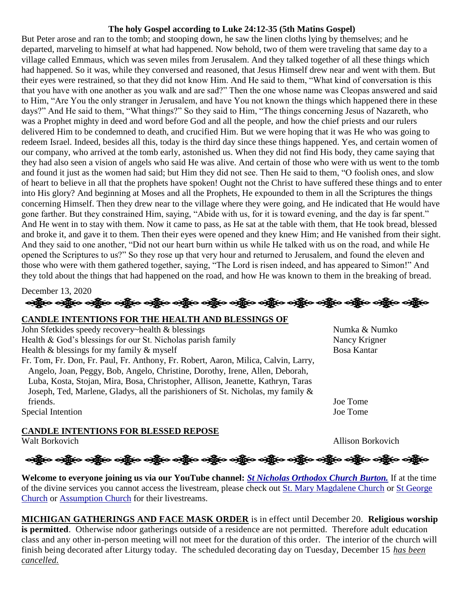### **The holy Gospel according to Luke 24:12-35 (5th Matins Gospel)**

But Peter arose and ran to the tomb; and stooping down, he saw the linen cloths lying by themselves; and he departed, marveling to himself at what had happened. Now behold, two of them were traveling that same day to a village called Emmaus, which was seven miles from Jerusalem. And they talked together of all these things which had happened. So it was, while they conversed and reasoned, that Jesus Himself drew near and went with them. But their eyes were restrained, so that they did not know Him. And He said to them, "What kind of conversation is this that you have with one another as you walk and are sad?" Then the one whose name was Cleopas answered and said to Him, "Are You the only stranger in Jerusalem, and have You not known the things which happened there in these days?" And He said to them, "What things?" So they said to Him, "The things concerning Jesus of Nazareth, who was a Prophet mighty in deed and word before God and all the people, and how the chief priests and our rulers delivered Him to be condemned to death, and crucified Him. But we were hoping that it was He who was going to redeem Israel. Indeed, besides all this, today is the third day since these things happened. Yes, and certain women of our company, who arrived at the tomb early, astonished us. When they did not find His body, they came saying that they had also seen a vision of angels who said He was alive. And certain of those who were with us went to the tomb and found it just as the women had said; but Him they did not see. Then He said to them, "O foolish ones, and slow of heart to believe in all that the prophets have spoken! Ought not the Christ to have suffered these things and to enter into His glory? And beginning at Moses and all the Prophets, He expounded to them in all the Scriptures the things concerning Himself. Then they drew near to the village where they were going, and He indicated that He would have gone farther. But they constrained Him, saying, "Abide with us, for it is toward evening, and the day is far spent." And He went in to stay with them. Now it came to pass, as He sat at the table with them, that He took bread, blessed and broke it, and gave it to them. Then their eyes were opened and they knew Him; and He vanished from their sight. And they said to one another, "Did not our heart burn within us while He talked with us on the road, and while He opened the Scriptures to us?" So they rose up that very hour and returned to Jerusalem, and found the eleven and those who were with them gathered together, saying, "The Lord is risen indeed, and has appeared to Simon!" And they told about the things that had happened on the road, and how He was known to them in the breaking of bread.

December 13, 2020

# ခရွို့လ ခရွို့လ ခရွို့လ ခရွို့လ ခရွို့လ ခရွို့လ ခရွို့လ ခရွို့လ ခရွို့လ ခရွို့လ ခရွို့လ ခရွို့လ ခရွို့လ ခရွို့လ

### **CANDLE INTENTIONS FOR THE HEALTH AND BLESSINGS OF**

John Sfetkides speedy recovery~health & blessings Numka & Numko Health & God's blessings for our St. Nicholas parish family Nancy Krigner Health  $\&$  blessings for my family  $\&$  myself Bosa Kantar Fr. Tom, Fr. Don, Fr. Paul, Fr. Anthony, Fr. Robert, Aaron, Milica, Calvin, Larry, Angelo, Joan, Peggy, Bob, Angelo, Christine, Dorothy, Irene, Allen, Deborah, Luba, Kosta, Stojan, Mira, Bosa, Christopher, Allison, Jeanette, Kathryn, Taras Joseph, Ted, Marlene, Gladys, all the parishioners of St. Nicholas, my family & friends. Joe Tome Special Intention Joe Tome

**CANDLE INTENTIONS FOR BLESSED REPOSE**

Walt Borkovich Allison Borkovich

## ခရွို့လ ခရွို့လ ခရွို့လ ခရွို့လ ခရွို့လ ခရွို့လ ခရွို့လ ခရွို့လ ခရွို့လ ခရွို့လ ခရွို့လ ခရွို့လ ခရွို့လ ခရွို့လ

**Welcome to everyone joining us via our YouTube channel:** *[St Nicholas Orthodox Church Burton.](https://www.youtube.com/channel/UC59tV-Re443z-GCoETAUvfA)* If at the time of the divine services you cannot access the livestream, please check out [St. Mary Magdalene Church](https://www.youtube.com/channel/UClHAqZrWkXdYELujbbIslHg) or [St George](https://www.youtube.com/channel/UCpLWfxMIJK4uQOV41ekE6Wg/videos?view=2&flow=grid)  [Church](https://www.youtube.com/channel/UCpLWfxMIJK4uQOV41ekE6Wg/videos?view=2&flow=grid) or [Assumption Church](https://www.facebook.com/AssumptionGrandBlanc/) for their livestreams.

**MICHIGAN GATHERINGS AND FACE MASK ORDER** is in effect until December 20. **Religious worship is permitted**. Otherwise ndoor gatherings outside of a residence are not permitted. Therefore adult education class and any other in-person meeting will not meet for the duration of this order. The interior of the church will finish being decorated after Liturgy today. The scheduled decorating day on Tuesday, December 15 *has been cancelled.*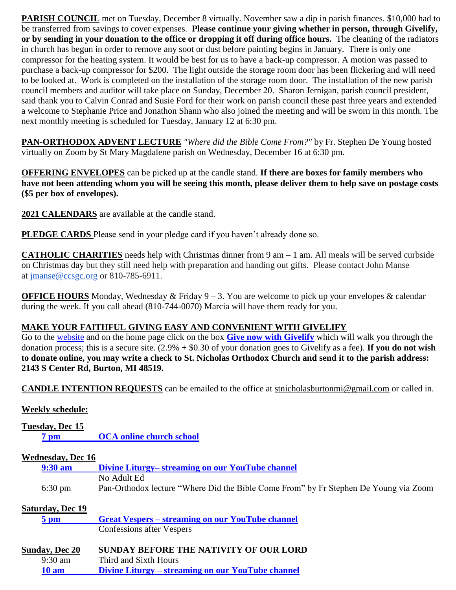**PARISH COUNCIL** met on Tuesday, December 8 virtually. November saw a dip in parish finances. \$10,000 had to be transferred from savings to cover expenses. **Please continue your giving whether in person, through Givelify, or by sending in your donation to the office or dropping it off during office hours.** The cleaning of the radiators in church has begun in order to remove any soot or dust before painting begins in January. There is only one compressor for the heating system. It would be best for us to have a back-up compressor. A motion was passed to purchase a back-up compressor for \$200. The light outside the storage room door has been flickering and will need to be looked at. Work is completed on the installation of the storage room door. The installation of the new parish council members and auditor will take place on Sunday, December 20. Sharon Jernigan, parish council president, said thank you to Calvin Conrad and Susie Ford for their work on parish council these past three years and extended a welcome to Stephanie Price and Jonathon Shann who also joined the meeting and will be sworn in this month. The next monthly meeting is scheduled for Tuesday, January 12 at 6:30 pm.

**PAN-ORTHODOX ADVENT LECTURE** *"Where did the Bible Come From?"* by Fr. Stephen De Young hosted virtually on Zoom by St Mary Magdalene parish on Wednesday, December 16 at 6:30 pm.

**OFFERING ENVELOPES** can be picked up at the candle stand. **If there are boxes for family members who have not been attending whom you will be seeing this month, please deliver them to help save on postage costs (\$5 per box of envelopes).**

**2021 CALENDARS** are available at the candle stand.

**PLEDGE CARDS** Please send in your pledge card if you haven't already done so.

**CATHOLIC CHARITIES** needs help with Christmas dinner from 9 am – 1 am. All meals will be served curbside on Christmas day but they still need help with preparation and handing out gifts. Please contact John Manse at [jmanse@ccsgc.org](mailto:jmanse@ccsgc.org) or 810-785-6911.

**OFFICE HOURS** Monday, Wednesday & Friday 9 – 3. You are welcome to pick up your envelopes & calendar during the week. If you call ahead (810-744-0070) Marcia will have them ready for you.

### **MAKE YOUR FAITHFUL GIVING EASY AND CONVENIENT WITH GIVELIFY**

Go to the [website](http://www.saintnicholasburton.org/) and on the home page click on the box **[Give now with Givelify](https://www.givelify.com/givenow/1.0/Mzc5MTg=/selection)** which will walk you through the donation process; this is a secure site. (2.9% + \$0.30 of your donation goes to Givelify as a fee). **If you do not wish to donate online, you may write a check to St. Nicholas Orthodox Church and send it to the parish address: 2143 S Center Rd, Burton, MI 48519.**

**CANDLE INTENTION REQUESTS** can be emailed to the office at [stnicholasburtonmi@gmail.com](mailto:stnicholasburtonmi@gmail.com) or called in.

### **Weekly schedule:**

| Tuesday, Dec 15          |                                                                                      |  |  |  |  |  |
|--------------------------|--------------------------------------------------------------------------------------|--|--|--|--|--|
| 7 <sub>pm</sub>          | <b>OCA online church school</b>                                                      |  |  |  |  |  |
|                          |                                                                                      |  |  |  |  |  |
| <b>Wednesday, Dec 16</b> |                                                                                      |  |  |  |  |  |
| $9:30 \text{ am}$        | Divine Liturgy– streaming on our YouTube channel                                     |  |  |  |  |  |
|                          | No Adult Ed                                                                          |  |  |  |  |  |
| $6:30 \text{ pm}$        | Pan-Orthodox lecture "Where Did the Bible Come From" by Fr Stephen De Young via Zoom |  |  |  |  |  |
|                          |                                                                                      |  |  |  |  |  |
| <b>Saturday, Dec 19</b>  |                                                                                      |  |  |  |  |  |
| $5 \text{ pm}$           | <b>Great Vespers – streaming on our YouTube channel</b>                              |  |  |  |  |  |
|                          | Confessions after Vespers                                                            |  |  |  |  |  |
|                          |                                                                                      |  |  |  |  |  |
| <b>Sunday, Dec 20</b>    | SUNDAY BEFORE THE NATIVITY OF OUR LORD                                               |  |  |  |  |  |
| $9:30$ am                | Third and Sixth Hours                                                                |  |  |  |  |  |
| 10 <sub>am</sub>         | Divine Liturgy – streaming on our YouTube channel                                    |  |  |  |  |  |
|                          |                                                                                      |  |  |  |  |  |